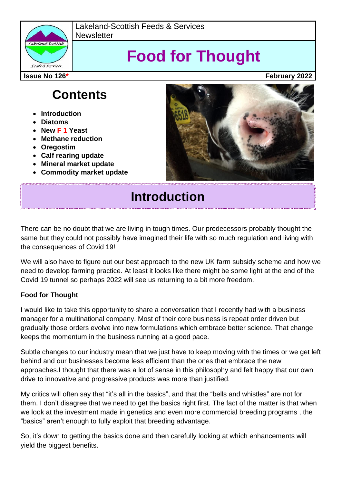

Lakeland-Scottish Feeds & Services **Newsletter** 

# **Food for Thought**

**Issue No 126\* February 2022**

# **Contents**

- **Introduction**
- **Diatoms**
- **New F 1 Yeast**
- **Methane reduction**
- **Oregostim**
- **Calf rearing update**
- **Mineral market update**
- **Commodity market update**



# **Introduction**

There can be no doubt that we are living in tough times. Our predecessors probably thought the same but they could not possibly have imagined their life with so much regulation and living with the consequences of Covid 19!

We will also have to figure out our best approach to the new UK farm subsidy scheme and how we need to develop farming practice. At least it looks like there might be some light at the end of the Covid 19 tunnel so perhaps 2022 will see us returning to a bit more freedom.

### **Food for Thought**

I would like to take this opportunity to share a conversation that I recently had with a business manager for a multinational company. Most of their core business is repeat order driven but gradually those orders evolve into new formulations which embrace better science. That change keeps the momentum in the business running at a good pace.

Subtle changes to our industry mean that we just have to keep moving with the times or we get left behind and our businesses become less efficient than the ones that embrace the new approaches.I thought that there was a lot of sense in this philosophy and felt happy that our own drive to innovative and progressive products was more than justified.

My critics will often say that "it's all in the basics", and that the "bells and whistles" are not for them. I don't disagree that we need to get the basics right first. The fact of the matter is that when we look at the investment made in genetics and even more commercial breeding programs , the "basics" aren't enough to fully exploit that breeding advantage.

So, it's down to getting the basics done and then carefully looking at which enhancements will yield the biggest benefits.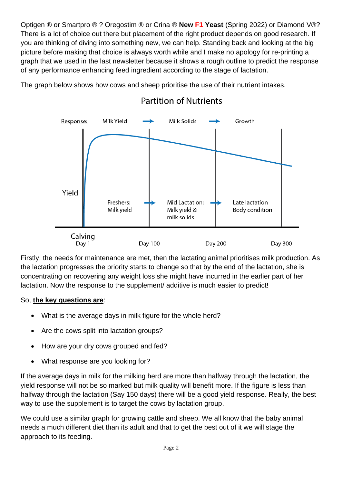Optigen ® or Smartpro ® ? Oregostim ® or Crina ® **New F1 Yeast** (Spring 2022) or Diamond V®? There is a lot of choice out there but placement of the right product depends on good research. If you are thinking of diving into something new, we can help. Standing back and looking at the big picture before making that choice is always worth while and I make no apology for re-printing a graph that we used in the last newsletter because it shows a rough outline to predict the response of any performance enhancing feed ingredient according to the stage of lactation.

The graph below shows how cows and sheep prioritise the use of their nutrient intakes.



### **Partition of Nutrients**

Firstly, the needs for maintenance are met, then the lactating animal prioritises milk production. As the lactation progresses the priority starts to change so that by the end of the lactation, she is concentrating on recovering any weight loss she might have incurred in the earlier part of her lactation. Now the response to the supplement/ additive is much easier to predict!

### So, **the key questions are**:

- What is the average days in milk figure for the whole herd?
- Are the cows split into lactation groups?
- How are your dry cows grouped and fed?
- What response are you looking for?

If the average days in milk for the milking herd are more than halfway through the lactation, the yield response will not be so marked but milk quality will benefit more. If the figure is less than halfway through the lactation (Say 150 days) there will be a good yield response. Really, the best way to use the supplement is to target the cows by lactation group.

We could use a similar graph for growing cattle and sheep. We all know that the baby animal needs a much different diet than its adult and that to get the best out of it we will stage the approach to its feeding.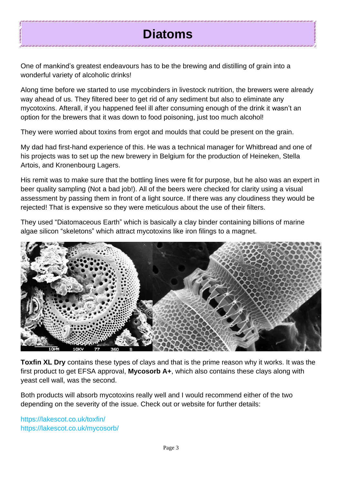# **Diatoms**

One of mankind's greatest endeavours has to be the brewing and distilling of grain into a wonderful variety of alcoholic drinks!

Along time before we started to use mycobinders in livestock nutrition, the brewers were already way ahead of us. They filtered beer to get rid of any sediment but also to eliminate any mycotoxins. Afterall, if you happened feel ill after consuming enough of the drink it wasn't an option for the brewers that it was down to food poisoning, just too much alcohol!

They were worried about toxins from ergot and moulds that could be present on the grain.

My dad had first-hand experience of this. He was a technical manager for Whitbread and one of his projects was to set up the new brewery in Belgium for the production of Heineken, Stella Artois, and Kronenbourg Lagers.

His remit was to make sure that the bottling lines were fit for purpose, but he also was an expert in beer quality sampling (Not a bad job!). All of the beers were checked for clarity using a visual assessment by passing them in front of a light source. If there was any cloudiness they would be rejected! That is expensive so they were meticulous about the use of their filters.

They used "Diatomaceous Earth" which is basically a clay binder containing billions of marine algae silicon "skeletons" which attract mycotoxins like iron filings to a magnet.



**Toxfin XL Dry** contains these types of clays and that is the prime reason why it works. It was the first product to get EFSA approval, **Mycosorb A+**, which also contains these clays along with yeast cell wall, was the second.

Both products will absorb mycotoxins really well and I would recommend either of the two depending on the severity of the issue. Check out or website for further details:

https://lakescot.co.uk/toxfin/ https://lakescot.co.uk/mycosorb/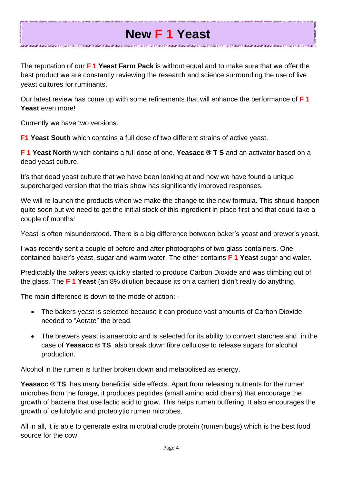# **New F 1 Yeast**

The reputation of our **F 1 Yeast Farm Pack** is without equal and to make sure that we offer the best product we are constantly reviewing the research and science surrounding the use of live yeast cultures for ruminants.

Our latest review has come up with some refinements that will enhance the performance of **F 1 Yeast** even more!

Currently we have two versions.

**F1 Yeast South** which contains a full dose of two different strains of active yeast.

**F 1 Yeast North** which contains a full dose of one, **Yeasacc ® T S** and an activator based on a dead yeast culture.

It's that dead yeast culture that we have been looking at and now we have found a unique supercharged version that the trials show has significantly improved responses.

We will re-launch the products when we make the change to the new formula. This should happen quite soon but we need to get the initial stock of this ingredient in place first and that could take a couple of months!

Yeast is often misunderstood. There is a big difference between baker's yeast and brewer's yeast.

I was recently sent a couple of before and after photographs of two glass containers. One contained baker's yeast, sugar and warm water. The other contains **F 1 Yeast** sugar and water.

Predictably the bakers yeast quickly started to produce Carbon Dioxide and was climbing out of the glass. The **F 1 Yeast** (an 8% dilution because its on a carrier) didn't really do anything.

The main difference is down to the mode of action: -

- The bakers yeast is selected because it can produce vast amounts of Carbon Dioxide needed to "Aerate" the bread.
- The brewers yeast is anaerobic and is selected for its ability to convert starches and, in the case of **Yeasacc ® TS** also break down fibre cellulose to release sugars for alcohol production.

Alcohol in the rumen is further broken down and metabolised as energy.

**Yeasacc ® TS** has many beneficial side effects. Apart from releasing nutrients for the rumen microbes from the forage, it produces peptides (small amino acid chains) that encourage the growth of bacteria that use lactic acid to grow. This helps rumen buffering. It also encourages the growth of cellulolytic and proteolytic rumen microbes.

All in all, it is able to generate extra microbial crude protein (rumen bugs) which is the best food source for the cow!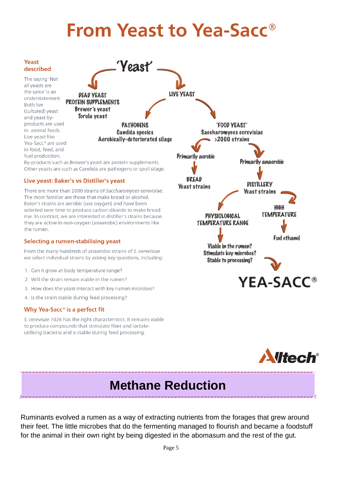# **From Yeast to Yea-Sacc<sup>®</sup>**



Other yeasts are such as Candida are pathogens or spoil silage.

#### Live yeast: Baker's vs Distiller's yeast

There are more than 2000 strains of Saccharomyces cerevisiae. The most familiar are those that make bread or alcohol. Baker's strains are aerobic (use oxygen) and have been selected over time to produce carbon dioxide to make bread rise. In contrast, we are interested in distiller's strains because they are active in non-oxygen (anaerobic) environments like the rumen

#### Selecting a rumen-stabilising yeast

From the many hundreds of anaerobic strains of S. cerevisiae we select individual strains by asking key questions, including:

- 1. Can it grow at body temperature range?
- 2. Will the strain remain viable in the rumen?
- 3. How does the veast interact with key rumen microbes?
- 4. Is the strain stable during feed processing?

#### Why Yea-Sacc<sup>®</sup> is a perfect fit

S. cerevisae 1026 has the right characteristics. It remains viable to produce compounds that stimulate fiber and lactateutilising bacteria and is stable during feed processing.





### **Methane Reduction**

Ruminants evolved a rumen as a way of extracting nutrients from the forages that grew around their feet. The little microbes that do the fermenting managed to flourish and became a foodstuff for the animal in their own right by being digested in the abomasum and the rest of the gut.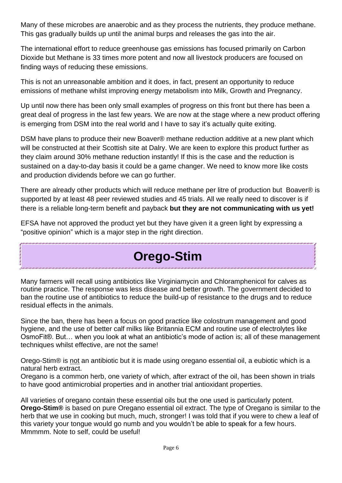Many of these microbes are anaerobic and as they process the nutrients, they produce methane. This gas gradually builds up until the animal burps and releases the gas into the air.

The international effort to reduce greenhouse gas emissions has focused primarily on Carbon Dioxide but Methane is 33 times more potent and now all livestock producers are focused on finding ways of reducing these emissions.

This is not an unreasonable ambition and it does, in fact, present an opportunity to reduce emissions of methane whilst improving energy metabolism into Milk, Growth and Pregnancy.

Up until now there has been only small examples of progress on this front but there has been a great deal of progress in the last few years. We are now at the stage where a new product offering is emerging from DSM into the real world and I have to say it's actually quite exiting.

DSM have plans to produce their new Boaver® methane reduction additive at a new plant which will be constructed at their Scottish site at Dalry. We are keen to explore this product further as they claim around 30% methane reduction instantly! If this is the case and the reduction is sustained on a day-to-day basis it could be a game changer. We need to know more like costs and production dividends before we can go further.

There are already other products which will reduce methane per litre of production but Boaver® is supported by at least 48 peer reviewed studies and 45 trials. All we really need to discover is if there is a reliable long-term benefit and payback **but they are not communicating with us yet!**

EFSA have not approved the product yet but they have given it a green light by expressing a "positive opinion" which is a major step in the right direction.

### **Orego-Stim**

Many farmers will recall using antibiotics like Virginiamycin and Chloramphenicol for calves as routine practice. The response was less disease and better growth. The government decided to ban the routine use of antibiotics to reduce the build-up of resistance to the drugs and to reduce residual effects in the animals.

Since the ban, there has been a focus on good practice like colostrum management and good hygiene, and the use of better calf milks like Britannia ECM and routine use of electrolytes like OsmoFit®. But… when you look at what an antibiotic's mode of action is; all of these management techniques whilst effective, are not the same!

Orego-Stim® is not an antibiotic but it is made using oregano essential oil, a eubiotic which is a natural herb extract.

Oregano is a common herb, one variety of which, after extract of the oil, has been shown in trials to have good antimicrobial properties and in another trial antioxidant properties.

All varieties of oregano contain these essential oils but the one used is particularly potent. **Orego-Stim®** is based on pure Oregano essential oil extract. The type of Oregano is similar to the herb that we use in cooking but much, much, stronger! I was told that if you were to chew a leaf of this variety your tongue would go numb and you wouldn't be able to speak for a few hours. Mmmmm. Note to self, could be useful!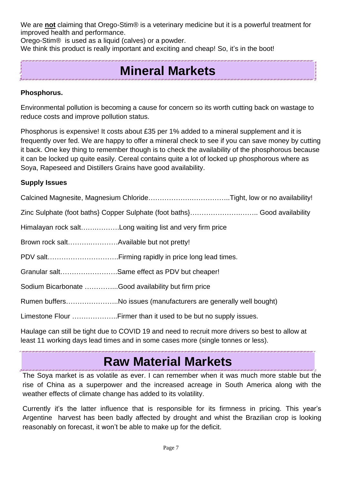We are **not** claiming that Orego-Stim® is a veterinary medicine but it is a powerful treatment for improved health and performance.

Orego-Stim® is used as a liquid (calves) or a powder.

We think this product is really important and exciting and cheap! So, it's in the boot!

# **Mineral Markets**

### **Phosphorus.**

Environmental pollution is becoming a cause for concern so its worth cutting back on wastage to reduce costs and improve pollution status.

Phosphorus is expensive! It costs about £35 per 1% added to a mineral supplement and it is frequently over fed. We are happy to offer a mineral check to see if you can save money by cutting it back. One key thing to remember though is to check the availability of the phosphorous because it can be locked up quite easily. Cereal contains quite a lot of locked up phosphorous where as Soya, Rapeseed and Distillers Grains have good availability.

### **Supply Issues**

| Himalayan rock saltLong waiting list and very firm price         |  |
|------------------------------------------------------------------|--|
|                                                                  |  |
|                                                                  |  |
| Granular saltSame effect as PDV but cheaper!                     |  |
| Sodium Bicarbonate Good availability but firm price              |  |
| Rumen buffersNo issues (manufacturers are generally well bought) |  |
| Limestone Flour Firmer than it used to be but no supply issues.  |  |
|                                                                  |  |

Haulage can still be tight due to COVID 19 and need to recruit more drivers so best to allow at least 11 working days lead times and in some cases more (single tonnes or less).

# **Raw Material Markets**

The Soya market is as volatile as ever. I can remember when it was much more stable but the rise of China as a superpower and the increased acreage in South America along with the weather effects of climate change has added to its volatility.

Currently it's the latter influence that is responsible for its firmness in pricing. This year's Argentine harvest has been badly affected by drought and whist the Brazilian crop is looking reasonably on forecast, it won't be able to make up for the deficit.